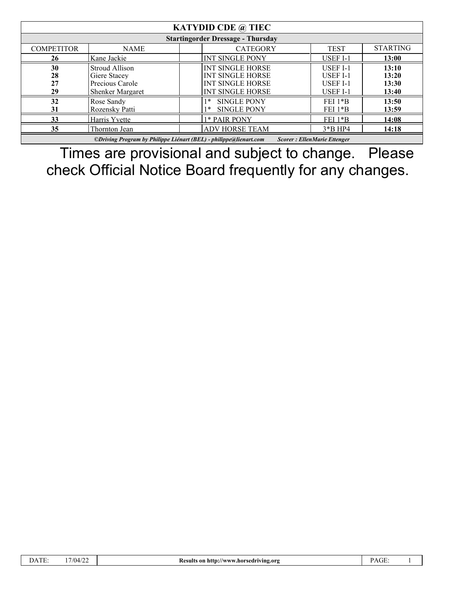| <b>KATYDID CDE</b> $@$ TIEC                                                                             |                                                                              |                                                                                                          |                                                                   |                                  |  |
|---------------------------------------------------------------------------------------------------------|------------------------------------------------------------------------------|----------------------------------------------------------------------------------------------------------|-------------------------------------------------------------------|----------------------------------|--|
| <b>Startingorder Dressage - Thursday</b>                                                                |                                                                              |                                                                                                          |                                                                   |                                  |  |
| <b>COMPETITOR</b>                                                                                       | <b>NAME</b>                                                                  | <b>CATEGORY</b>                                                                                          | <b>TEST</b>                                                       | <b>STARTING</b>                  |  |
| 26                                                                                                      | Kane Jackie                                                                  | <b>INT SINGLE PONY</b>                                                                                   | <b>USEF I-1</b>                                                   | 13:00                            |  |
| 30<br>28<br>27<br>29                                                                                    | Stroud Allison<br>Giere Stacey<br>Precious Carole<br><b>Shenker Margaret</b> | <b>INT SINGLE HORSE</b><br><b>INT SINGLE HORSE</b><br><b>INT SINGLE HORSE</b><br><b>INT SINGLE HORSE</b> | <b>USEF I-1</b><br><b>USEF I-1</b><br><b>USEF I-1</b><br>USEF I-1 | 13:10<br>13:20<br>13:30<br>13:40 |  |
| 32<br>31                                                                                                | Rose Sandy<br>Rozensky Patti                                                 | <b>SINGLE PONY</b><br>∣∗<br><b>SINGLE PONY</b>                                                           | $FEI$ $1*B$<br>$FEI$ 1* $B$                                       | 13:50<br>13:59                   |  |
| 33                                                                                                      | Harris Yvette                                                                | 1* PAIR PONY                                                                                             | $FEI 1*B$                                                         | 14:08                            |  |
| 35                                                                                                      | Thornton Jean                                                                | <b>ADV HORSE TEAM</b>                                                                                    | $3*B$ HP4                                                         | 14:18                            |  |
| ©Driving Program by Philippe Liénart (BEL) - philippe@lienart.com<br><b>Scorer: EllenMarie Ettenger</b> |                                                                              |                                                                                                          |                                                                   |                                  |  |

Times are provisional and subject to change. Please check Official Notice Board frequently for any changes.

| <b>COLUMN</b><br>$\lambda$<br>.11E. | 17/04/22 | a http://www.horsedriving.org<br><b>Results</b> on | $\sim$ $\sim$<br>'AUL. |  |
|-------------------------------------|----------|----------------------------------------------------|------------------------|--|